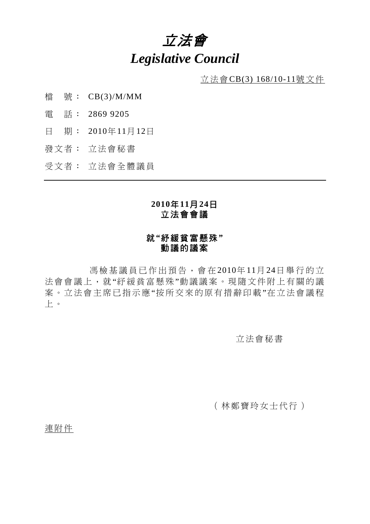# 立法會 *Legislative Council*

立法會CB(3) 168/10-11號文件

- 檔 號: CB(3)/M/MM
- 電 話: 2869 9205
- 日 期: 2010年11月12日
- 發文者: 立法會秘書
- 受文者: 立法會全體議員

### **2010**年**11**月**24**日 立法會會議

## 就**"**紓緩貧富懸殊**"**  動議的議案

 馮檢基議員已作出預告,會在 2010年 11月 24日舉行的立 法會會議上,就"紓緩貧富懸殊"動議議案。現隨文件附上有關的議 案。立法會主席已指示應"按所交來的原有措辭印載"在立法會議程 上。

### 立法會秘書

(林鄭寶玲女士代行)

連附件